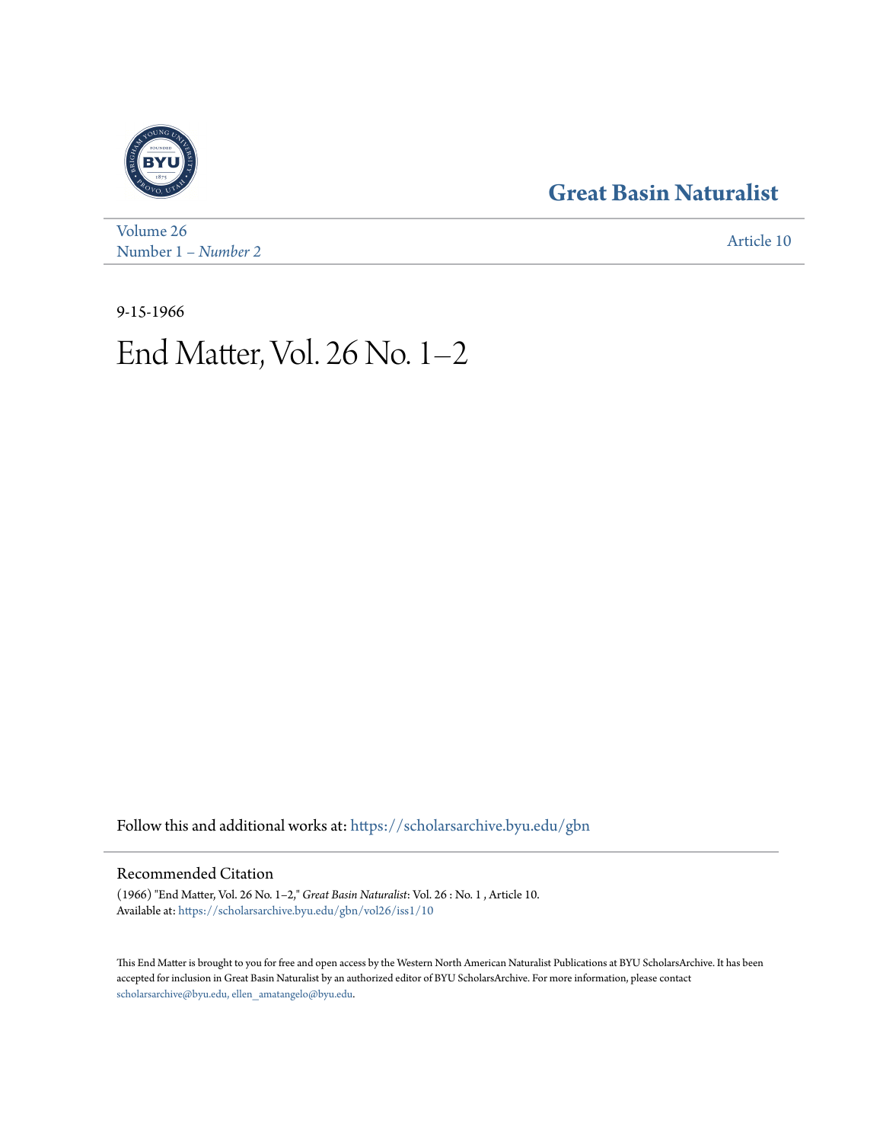## **[Great Basin Naturalist](https://scholarsarchive.byu.edu/gbn?utm_source=scholarsarchive.byu.edu%2Fgbn%2Fvol26%2Fiss1%2F10&utm_medium=PDF&utm_campaign=PDFCoverPages)**



[Volume 26](https://scholarsarchive.byu.edu/gbn/vol26?utm_source=scholarsarchive.byu.edu%2Fgbn%2Fvol26%2Fiss1%2F10&utm_medium=PDF&utm_campaign=PDFCoverPages) Number 1 *[– Number 2](https://scholarsarchive.byu.edu/gbn/vol26/iss1?utm_source=scholarsarchive.byu.edu%2Fgbn%2Fvol26%2Fiss1%2F10&utm_medium=PDF&utm_campaign=PDFCoverPages)* [Article 10](https://scholarsarchive.byu.edu/gbn/vol26/iss1/10?utm_source=scholarsarchive.byu.edu%2Fgbn%2Fvol26%2Fiss1%2F10&utm_medium=PDF&utm_campaign=PDFCoverPages)

9-15-1966

# End Matter, Vol. 26 No. 1–2

Follow this and additional works at: [https://scholarsarchive.byu.edu/gbn](https://scholarsarchive.byu.edu/gbn?utm_source=scholarsarchive.byu.edu%2Fgbn%2Fvol26%2Fiss1%2F10&utm_medium=PDF&utm_campaign=PDFCoverPages)

### Recommended Citation

(1966) "End Matter, Vol. 26 No. 1–2," *Great Basin Naturalist*: Vol. 26 : No. 1 , Article 10. Available at: [https://scholarsarchive.byu.edu/gbn/vol26/iss1/10](https://scholarsarchive.byu.edu/gbn/vol26/iss1/10?utm_source=scholarsarchive.byu.edu%2Fgbn%2Fvol26%2Fiss1%2F10&utm_medium=PDF&utm_campaign=PDFCoverPages)

This End Matter is brought to you for free and open access by the Western North American Naturalist Publications at BYU ScholarsArchive. It has been accepted for inclusion in Great Basin Naturalist by an authorized editor of BYU ScholarsArchive. For more information, please contact [scholarsarchive@byu.edu, ellen\\_amatangelo@byu.edu.](mailto:scholarsarchive@byu.edu,%20ellen_amatangelo@byu.edu)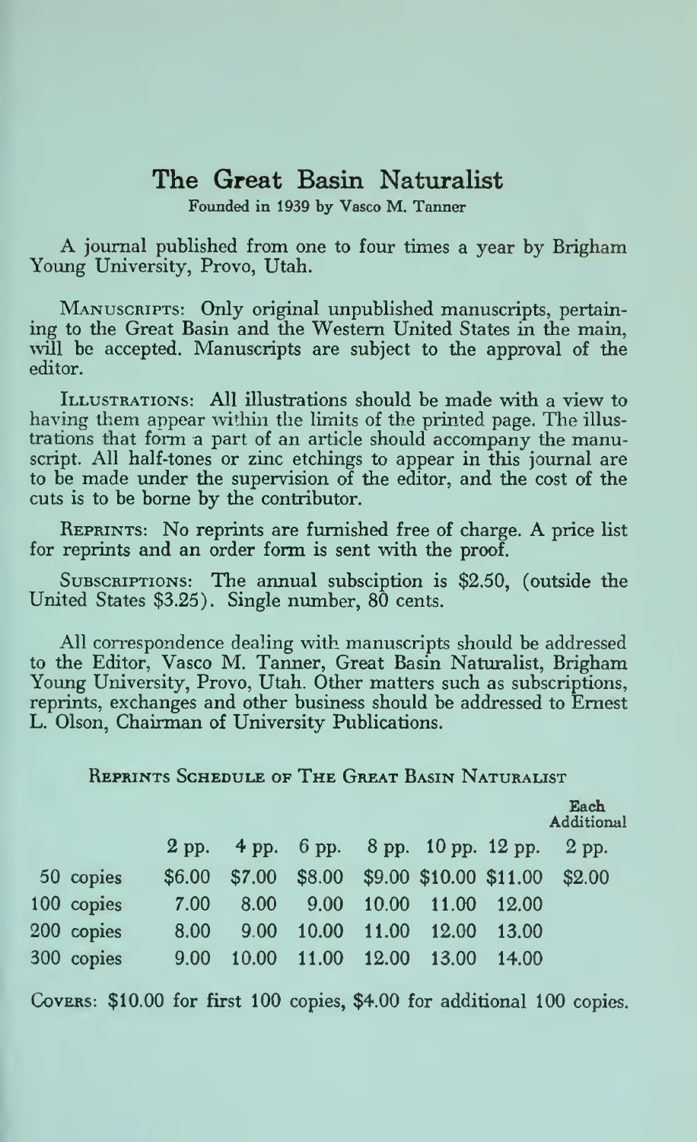## The Great Basin Naturalist

Foimded in 1939 by Vasco M. Tanner

A journal published from one to four times <sup>a</sup> year by Brigham Young University, Provo, Utah.

Manuscripts: Only original unpublished manuscripts, pertaining to the Great Basin and the Western United States in the main, will be accepted. Manuscripts are subject to the approval of the editor.

Illustrations: All illustrations should be made with a view to having them appear within the limits of the printed page. The illustrations that form a part of an article should accompany the manuscript. All half-tones or zinc etchings to appear in this journal are to be made under the supervision of the editor, and the cost of the cuts is to be borne by the contributor.

Reprints: No reprints are furnished free of charge. A price list for reprints and an order form is sent with the proof.

SUBSCRIPTIONS: The annual subsciption is \$2.50, (outside the United States \$3.25). Single number, 80 cents.

All correspondence dealing with manuscripts should be addressed to the Editor, Vasco M. Tanner, Great Basin Naturalist, Brigham Young University, Provo, Utah. Other matters such as subscriptions, reprints, exchanges and other business should be addressed to Ernest L. Olson, Chairman of University Publications.

#### Reprints Schedule of The Great Basin Naturalist

|            |        |      |  |                         |       | Each<br>Additional                           |
|------------|--------|------|--|-------------------------|-------|----------------------------------------------|
|            |        |      |  |                         |       | 2 pp. 4 pp. 6 pp. 8 pp. 10 pp. 12 pp. 2 pp.  |
| 50 copies  | \$6.00 |      |  |                         |       | $$7.00$ \$8.00 \$9.00 \$10.00 \$11.00 \$2.00 |
| 100 copies | 7.00   | 8.00 |  | 9.00 10.00 11.00 12.00  |       |                                              |
| 200 copies | 8.00   | 9.00 |  | 10.00 11.00 12.00       | 13.00 |                                              |
| 300 copies | 9.00   |      |  | 10.00 11.00 12.00 13.00 | 14.00 |                                              |
|            |        |      |  |                         |       |                                              |

COVERS: \$10.00 for first 100 copies, \$4.00 for additional 100 copies.